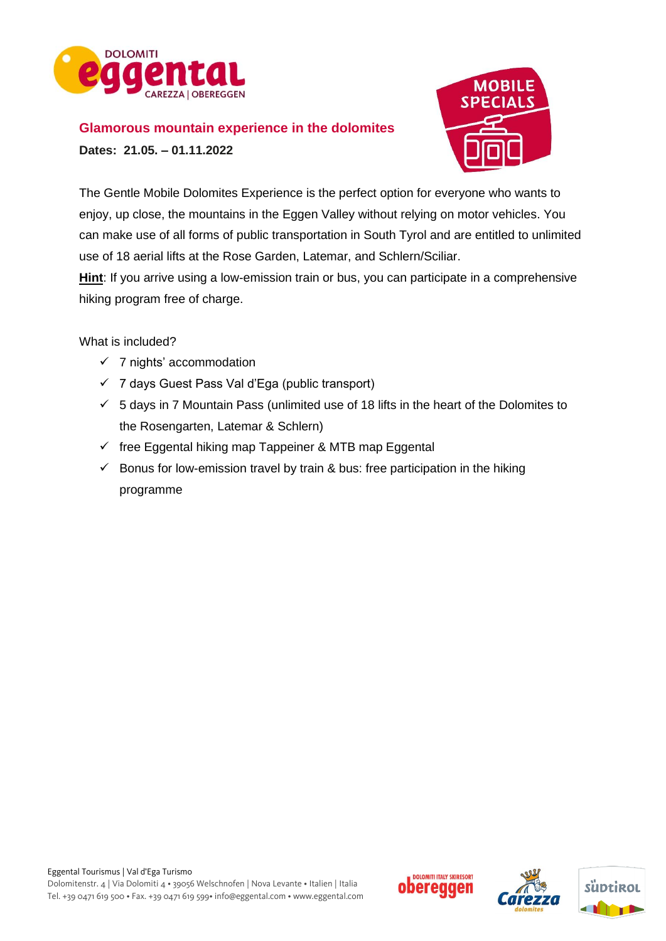

# **Glamorous mountain experience in the dolomites**

**Dates: 21.05. – 01.11.2022** 



The Gentle Mobile Dolomites Experience is the perfect option for everyone who wants to enjoy, up close, the mountains in the Eggen Valley without relying on motor vehicles. You can make use of all forms of public transportation in South Tyrol and are entitled to unlimited use of 18 aerial lifts at the Rose Garden, Latemar, and Schlern/Sciliar.

**Hint**: If you arrive using a low-emission train or bus, you can participate in a comprehensive hiking program free of charge.

What is included?

- $\checkmark$  7 nights' accommodation
- ✓ 7 days Guest Pass Val d'Ega (public transport)
- $\checkmark$  5 days in 7 Mountain Pass (unlimited use of 18 lifts in the heart of the Dolomites to the Rosengarten, Latemar & Schlern)
- $\checkmark$  free Eggental hiking map Tappeiner & MTB map Eggental
- $\checkmark$  Bonus for low-emission travel by train & bus: free participation in the hiking programme





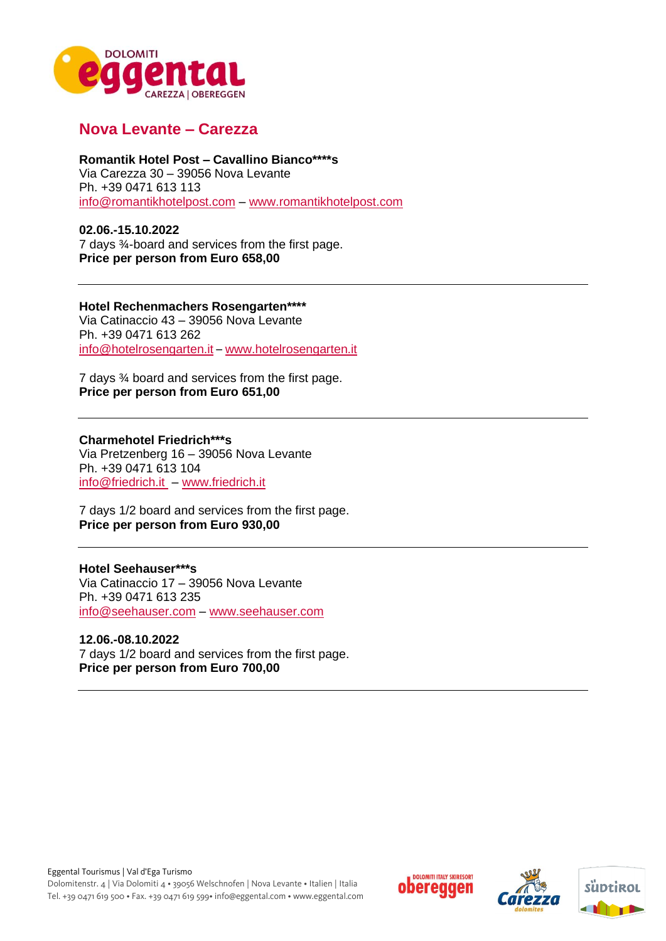

# **Nova Levante – Carezza**

#### **Romantik Hotel Post – Cavallino Bianco\*\*\*\*s**

Via Carezza 30 – 39056 Nova Levante Ph. +39 0471 613 113 [info@romantikhotelpost.com](mailto:info@romantikhotelpost.com) – [www.romantikhotelpost.com](http://www.romantikhotelpost.com/)

### **02.06.-15.10.2022**

7 days ¾-board and services from the first page. **Price per person from Euro 658,00**

### **Hotel Rechenmachers Rosengarten\*\*\*\***

Via Catinaccio 43 – 39056 Nova Levante Ph. +39 0471 613 262 [info@hotelrosengarten.it](mailto:info@hotelrosengarten.it) – [www.hotelrosengarten.it](http://www.hotelrosengarten.it/) 

7 days ¾ board and services from the first page. **Price per person from Euro 651,00**

### **Charmehotel Friedrich\*\*\*s**

Via Pretzenberg 16 – 39056 Nova Levante Ph. +39 0471 613 104 [info@friedrich.it](mailto:info@friedrich.it) – [www.friedrich.it](http://www.friedrich.it/) 

7 days 1/2 board and services from the first page. **Price per person from Euro 930,00**

### **Hotel Seehauser\*\*\*s**

Via Catinaccio 17 – 39056 Nova Levante Ph. +39 0471 613 235 [info@seehauser.com](mailto:info@seehauser.com) – [www.seehauser.com](http://www.seehauser.com/)

## **12.06.-08.10.2022**

7 days 1/2 board and services from the first page. **Price per person from Euro 700,00**





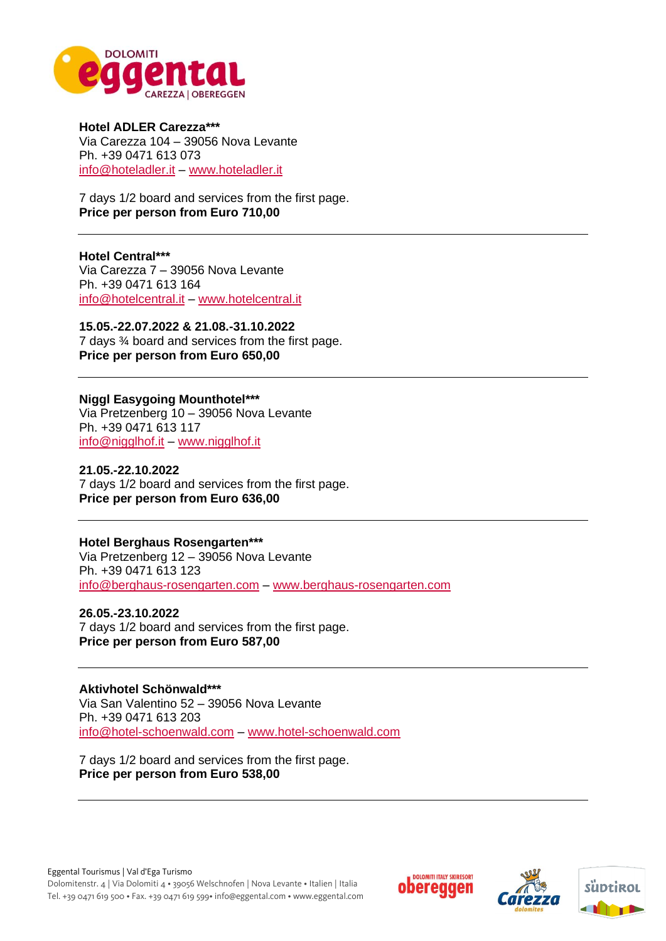

**Hotel ADLER Carezza\*\*\*** Via Carezza 104 – 39056 Nova Levante Ph. +39 0471 613 073 [info@hoteladler.it](mailto:info@hoteladler.it) – [www.hoteladler.it](http://www.hoteladler.it/)

7 days 1/2 board and services from the first page. **Price per person from Euro 710,00**

**Hotel Central\*\*\*** Via Carezza 7 – 39056 Nova Levante Ph. +39 0471 613 164 [info@hotelcentral.it](mailto:info@hotelcentral.it) – www.hotelcentral.it

**15.05.-22.07.2022 & 21.08.-31.10.2022** 7 days ¾ board and services from the first page. **Price per person from Euro 650,00**

**Niggl Easygoing Mounthotel\*\*\*** Via Pretzenberg 10 – 39056 Nova Levante Ph. +39 0471 613 117 [info@nigglhof.it](mailto:info@nigglhof.it) – [www.nigglhof.it](http://www.nigglhof.it/)

**21.05.-22.10.2022** 7 days 1/2 board and services from the first page. **Price per person from Euro 636,00**

**Hotel Berghaus Rosengarten\*\*\*** Via Pretzenberg 12 – 39056 Nova Levante Ph. +39 0471 613 123 [info@berghaus-rosengarten.com](mailto:info@berghaus-rosengarten.com) – [www.berghaus-rosengarten.com](http://www.berghaus-rosengarten.com/)

**26.05.-23.10.2022** 7 days 1/2 board and services from the first page. **Price per person from Euro 587,00**

**Aktivhotel Schönwald\*\*\*** Via San Valentino 52 – 39056 Nova Levante Ph. +39 0471 613 203 [info@hotel-schoenwald.com](mailto:info@hotel-schoenwald.com) – [www.hotel-schoenwald.com](http://www.hotel-schoenwald.com/) 

7 days 1/2 board and services from the first page. **Price per person from Euro 538,00** 





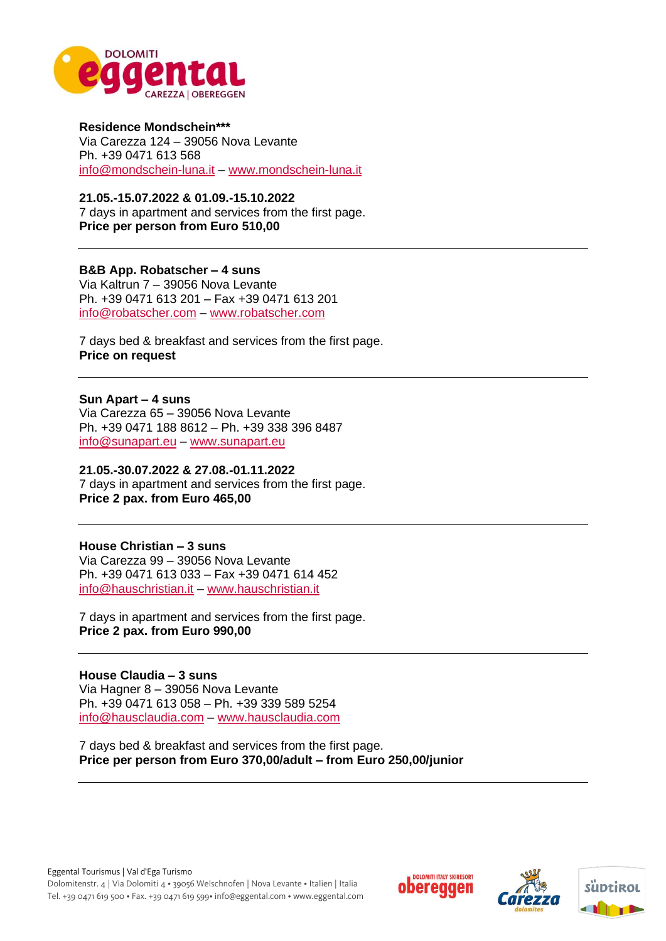

**Residence Mondschein\*\*\*** Via Carezza 124 – 39056 Nova Levante Ph. +39 0471 613 568 [info@mondschein-luna.it](mailto:info@mondschein-luna.it) – [www.mondschein-luna.it](http://www.mondschein-luna.it/)

**21.05.-15.07.2022 & 01.09.-15.10.2022** 7 days in apartment and services from the first page. **Price per person from Euro 510,00**

#### **B&B App. Robatscher – 4 suns**

Via Kaltrun 7 – 39056 Nova Levante Ph. +39 0471 613 201 – Fax +39 0471 613 201 [info@robatscher.com](mailto:info@robatscher.com) – [www.robatscher.com](http://www.robatscher.com/)

7 days bed & breakfast and services from the first page. **Price on request** 

**Sun Apart – 4 suns**

Via Carezza 65 – 39056 Nova Levante Ph. +39 0471 188 8612 – Ph. +39 338 396 8487 [info@sunapart.eu](mailto:info@sunapart.eu) – [www.sunapart.eu](http://www.sunapart.eu/)

#### **21.05.-30.07.2022 & 27.08.-01.11.2022**

7 days in apartment and services from the first page. **Price 2 pax. from Euro 465,00**

**House Christian – 3 suns**

Via Carezza 99 – 39056 Nova Levante Ph. +39 0471 613 033 – Fax +39 0471 614 452 [info@hauschristian.it](mailto:info@hauschristian.it) – [www.hauschristian.it](http://www.hauschristian.it/)

7 days in apartment and services from the first page. **Price 2 pax. from Euro 990,00**

**House Claudia – 3 suns** Via Hagner 8 – 39056 Nova Levante Ph. +39 0471 613 058 – Ph. +39 339 589 5254 [info@hausclaudia.com](mailto:info@hausclaudia.com) – [www.hausclaudia.com](http://www.hausclaudia.com/)

7 days bed & breakfast and services from the first page. **Price per person from Euro 370,00/adult – from Euro 250,00/junior**





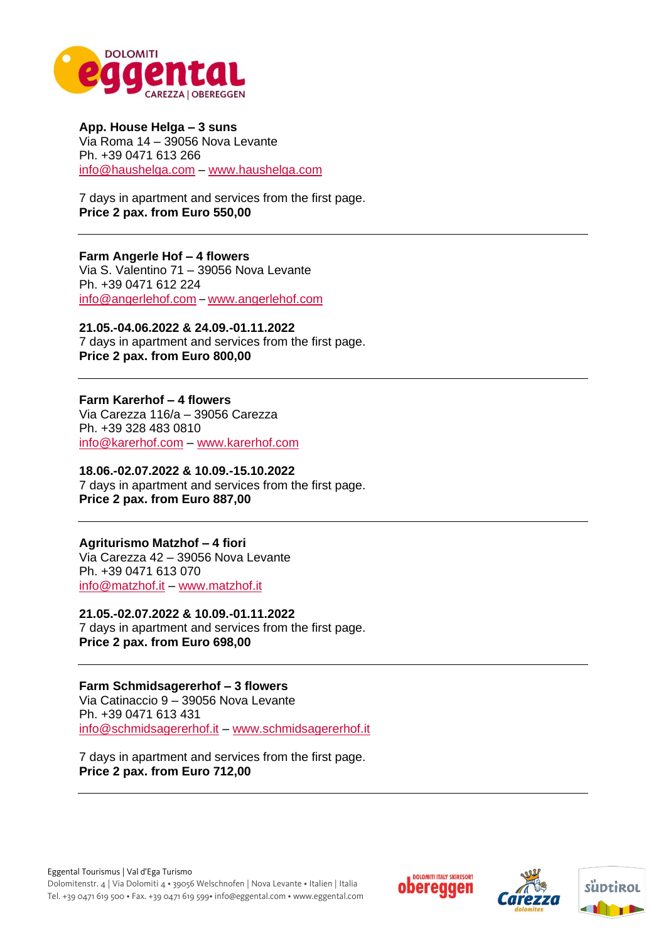

**App. House Helga – 3 suns** Via Roma 14 – 39056 Nova Levante Ph. +39 0471 613 266 [info@haushelga.com](mailto:info@haushelga.com) – [www.haushelga.com](http://www.haushelga.com/)

7 days in apartment and services from the first page. **Price 2 pax. from Euro 550,00** 

**Farm Angerle Hof – 4 flowers** Via S. Valentino 71 – 39056 Nova Levante Ph. +39 0471 612 224 [info@angerlehof.com](mailto:info@angerlehof.com) – [www.angerlehof.com](http://www.angerlehof.com/)

**21.05.-04.06.2022 & 24.09.-01.11.2022** 7 days in apartment and services from the first page. **Price 2 pax. from Euro 800,00** 

**Farm Karerhof – 4 flowers** Via Carezza 116/a – 39056 Carezza Ph. +39 328 483 0810 [info@karerhof.com](mailto:info@karerhof.com) – [www.karerhof.com](http://www.karerhof.com/)

**18.06.-02.07.2022 & 10.09.-15.10.2022** 7 days in apartment and services from the first page. **Price 2 pax. from Euro 887,00** 

**Agriturismo Matzhof – 4 fiori** Via Carezza 42 – 39056 Nova Levante Ph. +39 0471 613 070 [info@matzhof.it](mailto:info@matzhof.it) – [www.matzhof.it](http://www.matzhof.it/)

**21.05.-02.07.2022 & 10.09.-01.11.2022** 7 days in apartment and services from the first page. **Price 2 pax. from Euro 698,00** 

**Farm Schmidsagererhof – 3 flowers** Via Catinaccio 9 – 39056 Nova Levante Ph. +39 0471 613 431 [info@schmidsagererhof.it](mailto:info@schmidsagererhof.it) – [www.schmidsagererhof.it](http://www.schmidsagererhof.it/)

7 days in apartment and services from the first page. **Price 2 pax. from Euro 712,00** 





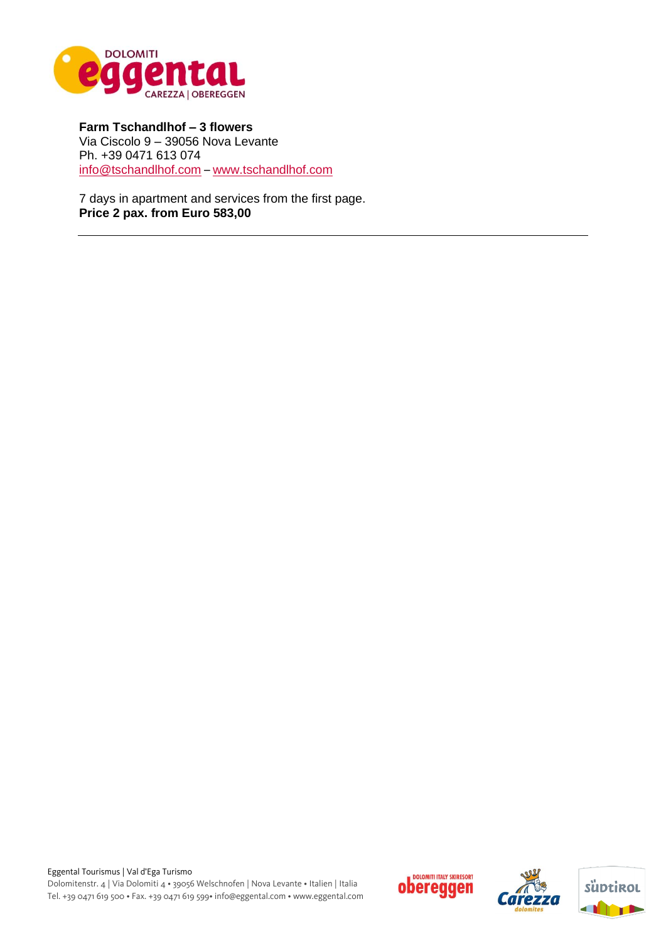

**Farm Tschandlhof – 3 flowers** Via Ciscolo 9 – 39056 Nova Levante Ph. +39 0471 613 074 info@tschandlhof.com – [www.tschandlhof.com](http://www.tschandlhof.com/)

7 days in apartment and services from the first page. **Price 2 pax. from Euro 583,00**





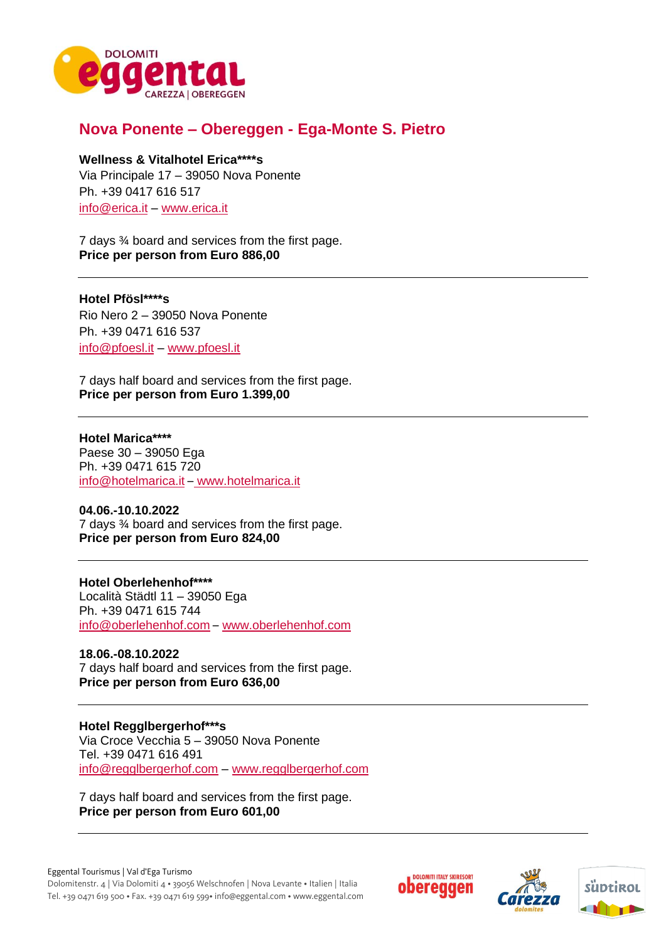

# **Nova Ponente – Obereggen - Ega-Monte S. Pietro**

#### **Wellness & Vitalhotel Erica\*\*\*\*s**

Via Principale 17 – 39050 Nova Ponente Ph. +39 0417 616 517 [info@erica.it](mailto:info@erica.it) – [www.erica.it](http://www.erica.it/)

7 days ¾ board and services from the first page. **Price per person from Euro 886,00**

#### **Hotel Pfösl\*\*\*\*s**

Rio Nero 2 – 39050 Nova Ponente Ph. +39 0471 616 537 [info@pfoesl.it](mailto:info@pfoesl.it) – [www.pfoesl.it](http://www.pfoesl.it/) 

7 days half board and services from the first page. **Price per person from Euro 1.399,00** 

**Hotel Marica\*\*\*\*** Paese 30 – 39050 Ega Ph. +39 0471 615 720 [info@hotelmarica.it](mailto:info@hotelmarica.it) – [www.hotelmarica.it](http://www.hotelmarica.it/)

**04.06.-10.10.2022** 7 days ¾ board and services from the first page. **Price per person from Euro 824,00**

#### **Hotel Oberlehenhof\*\*\*\***

Località Städtl 11 – 39050 Ega Ph. +39 0471 615 744 [info@oberlehenhof.com](mailto:info@oberlehenhof.com) – [www.oberlehenhof.com](http://www.oberlehenhof.com/)

**18.06.-08.10.2022** 7 days half board and services from the first page. **Price per person from Euro 636,00**

**Hotel Regglbergerhof\*\*\*s** Via Croce Vecchia 5 – 39050 Nova Ponente Tel. +39 0471 616 491 [info@regglbergerhof.com](mailto:info@regglbergerhof.com) – www.regglbergerhof.com

7 days half board and services from the first page. **Price per person from Euro 601,00** 





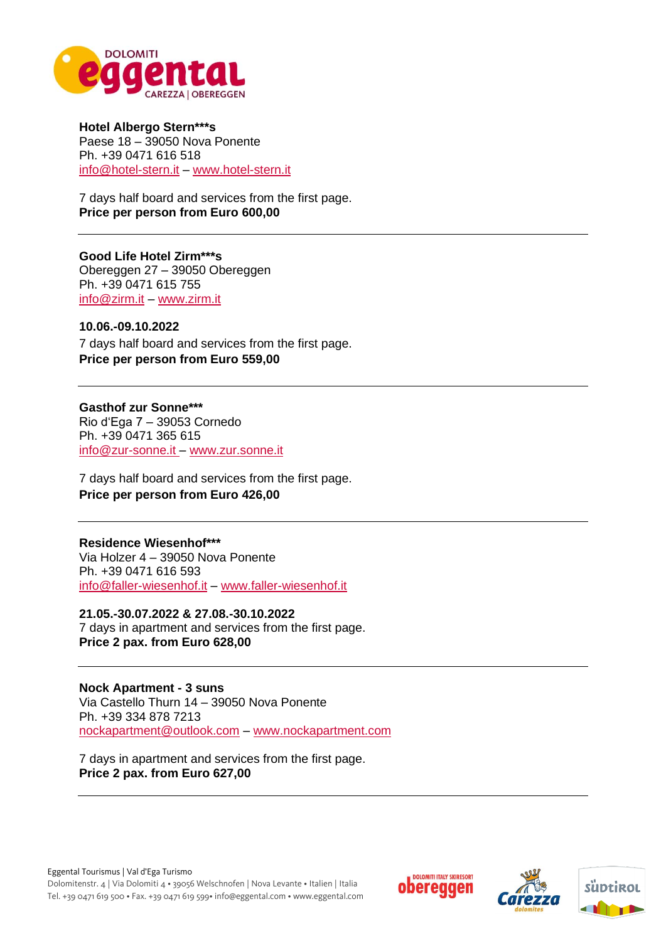

**Hotel Albergo Stern\*\*\*s** Paese 18 – 39050 Nova Ponente Ph. +39 0471 616 518 [info@hotel-stern.it](mailto:info@hotel-stern.it) – [www.hotel-stern.it](http://www.hotel-stern.it/)

7 days half board and services from the first page. **Price per person from Euro 600,00** 

**Good Life Hotel Zirm\*\*\*s** Obereggen 27 – 39050 Obereggen Ph. +39 0471 615 755 [info@zirm.it](mailto:info@zirm.it) – [www.zirm.it](http://www.zirm.it/)

#### **10.06.-09.10.2022** 7 days half board and services from the first page. **Price per person from Euro 559,00**

**Gasthof zur Sonne\*\*\*** Rio d'Ega 7 – 39053 Cornedo Ph. +39 0471 365 615 [info@zur-sonne.it](mailto:info@zur-sonne.it) – [www.zur.sonne.it](http://www.zur.sonne.it/) 

7 days half board and services from the first page. **Price per person from Euro 426,00** 

## **Residence Wiesenhof\*\*\***

Via Holzer 4 – 39050 Nova Ponente Ph. +39 0471 616 593 [info@faller-wiesenhof.it](mailto:info@faller-wiesenhof.it) – [www.faller-wiesenhof.it](http://www.faller-wiesenhof.it/) 

**21.05.-30.07.2022 & 27.08.-30.10.2022** 7 days in apartment and services from the first page. **Price 2 pax. from Euro 628,00** 

**Nock Apartment - 3 suns**  Via Castello Thurn 14 – 39050 Nova Ponente Ph. +39 334 878 7213 [nockapartment@outlook.com](mailto:nockapartment@outlook.com) – [www.nockapartment.com](http://www.nockapartment.com/)

7 days in apartment and services from the first page. **Price 2 pax. from Euro 627,00**